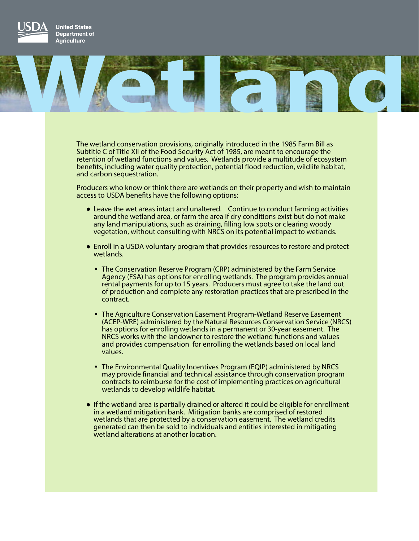

**United States** Department of **Agriculture** 



The wetland conservation provisions, originally introduced in the 1985 Farm Bill as Subtitle C of Title XII of the Food Security Act of 1985, are meant to encourage the retention of wetland functions and values. Wetlands provide a multitude of ecosystem benefits, including water quality protection, potential flood reduction, wildlife habitat, and carbon sequestration.

Producers who know or think there are wetlands on their property and wish to maintain access to USDA benefits have the following options:

- Leave the wet areas intact and unaltered. Continue to conduct farming activities around the wetland area, or farm the area if dry conditions exist but do not make any land manipulations, such as draining, filling low spots or clearing woody vegetation, without consulting with NRCS on its potential impact to wetlands.
- Enroll in a USDA voluntary program that provides resources to restore and protect wetlands.
	- The Conservation Reserve Program (CRP) administered by the Farm Service Agency (FSA) has options for enrolling wetlands. The program provides annual rental payments for up to 15 years. Producers must agree to take the land out of production and complete any restoration practices that are prescribed in the contract.
	- The Agriculture Conservation Easement Program-Wetland Reserve Easement (ACEP-WRE) administered by the Natural Resources Conservation Service (NRCS) has options for enrolling wetlands in a permanent or 30-year easement. The NRCS works with the landowner to restore the wetland functions and values and provides compensation for enrolling the wetlands based on local land values.
	- The Environmental Quality Incentives Program (EQIP) administered by NRCS may provide financial and technical assistance through conservation program contracts to reimburse for the cost of implementing practices on agricultural wetlands to develop wildlife habitat.
- If the wetland area is partially drained or altered it could be eligible for enrollment in a wetland mitigation bank. Mitigation banks are comprised of restored wetlands that are protected by a conservation easement. The wetland credits generated can then be sold to individuals and entities interested in mitigating wetland alterations at another location.